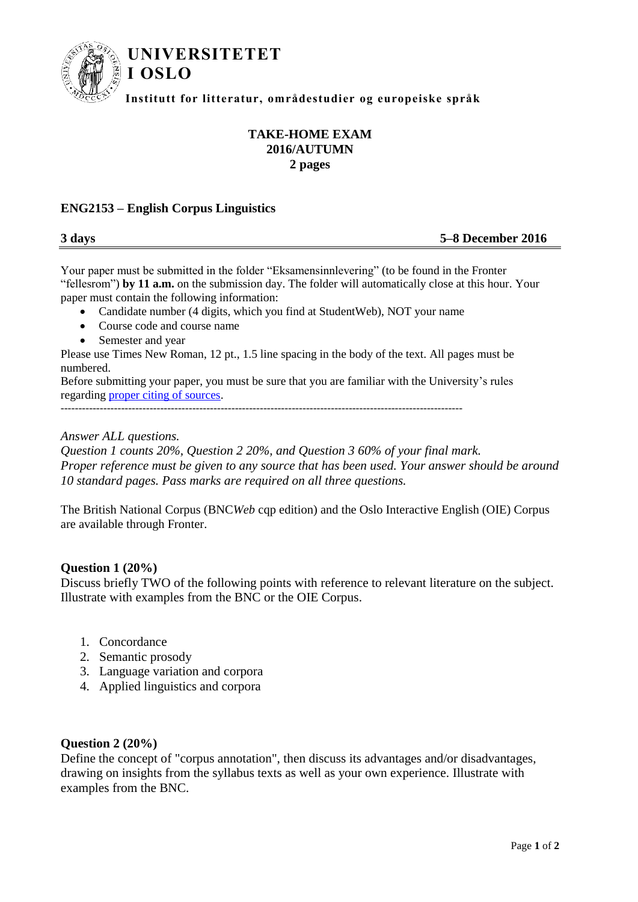

# **TAKE-HOME EXAM 2016/AUTUMN 2 pages**

## **ENG2153 – English Corpus Linguistics**

**3 days 5–8 December 2016**

Your paper must be submitted in the folder "Eksamensinnlevering" (to be found in the Fronter "fellesrom") **by 11 a.m.** on the submission day. The folder will automatically close at this hour. Your paper must contain the following information:

- Candidate number (4 digits, which you find at StudentWeb), NOT your name
- Course code and course name
- Semester and year

Please use Times New Roman, 12 pt., 1.5 line spacing in the body of the text. All pages must be numbered.

Before submitting your paper, you must be sure that you are familiar with the University's rules regarding [proper citing of sources.](http://www.hf.uio.no/studier/ressurser/kilder/)

-----------------------------------------------------------------------------------------------------------------

*Answer ALL questions.* 

*Question 1 counts 20%, Question 2 20%, and Question 3 60% of your final mark. Proper reference must be given to any source that has been used. Your answer should be around 10 standard pages. Pass marks are required on all three questions.*

The British National Corpus (BNC*Web* cqp edition) and the Oslo Interactive English (OIE) Corpus are available through Fronter.

#### **Question 1 (20%)**

Discuss briefly TWO of the following points with reference to relevant literature on the subject. Illustrate with examples from the BNC or the OIE Corpus.

- 1. Concordance
- 2. Semantic prosody
- 3. Language variation and corpora
- 4. Applied linguistics and corpora

#### **Question 2 (20%)**

Define the concept of "corpus annotation", then discuss its advantages and/or disadvantages, drawing on insights from the syllabus texts as well as your own experience. Illustrate with examples from the BNC.